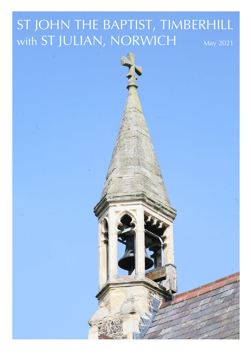# ST JOHN THE BAPTIST, TIMBERHILL with ST JULIAN, NORWICH May 2021

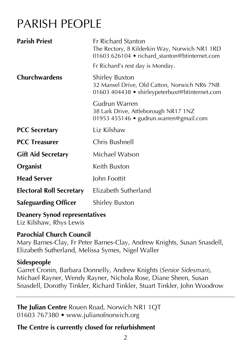## PARISH PEOPLE

| <b>Parish Priest</b>            | <b>Fr Richard Stanton</b><br>The Rectory, 8 Kilderkin Way, Norwich NR1 1RD<br>01603 626104 • richard_stanton@btinternet.com |
|---------------------------------|-----------------------------------------------------------------------------------------------------------------------------|
|                                 | Fr Richard's rest day is Monday.                                                                                            |
| <b>Churchwardens</b>            | <b>Shirley Buxton</b><br>32 Mansel Drive, Old Catton, Norwich NR6 7NB<br>01603 404438 • shirleypeterbuxt@btinternet.com     |
|                                 | Gudrun Warren<br>38 Lark Drive, Attleborough NR17 1NZ<br>01953 455146 • gudrun.warren@gmail.com                             |
| <b>PCC Secretary</b>            | Liz Kilshaw                                                                                                                 |
| <b>PCC Treasurer</b>            | Chris Bushnell                                                                                                              |
| <b>Gift Aid Secretary</b>       | Michael Watson                                                                                                              |
| Organist                        | Keith Buxton                                                                                                                |
| <b>Head Server</b>              | John Foottit                                                                                                                |
| <b>Electoral Roll Secretary</b> | Elizabeth Sutherland                                                                                                        |
| <b>Safeguarding Officer</b>     | <b>Shirley Buxton</b>                                                                                                       |
| Desusant Comed nonnecentatives  |                                                                                                                             |

#### **Deanery Synod representatives**

Liz Kilshaw, Rhys Lewis

#### **Parochial Church Council**

Mary Barnes-Clay, Fr Peter Barnes-Clay, Andrew Knights, Susan Snasdell, Elizabeth Sutherland, Melissa Symes, Nigel Waller

#### **Sidespeople**

Garret Cronin, Barbara Donnelly, Andrew Knights (*Senior Sidesman*), Michael Rayner, Wendy Rayner, Nichola Rose, Diane Sheen, Susan Snasdell, Dorothy Tinkler, Richard Tinkler, Stuart Tinkler, John Woodrow

#### **The Julian Centre** Rouen Road, Norwich NR1 1QT 01603 767380 • www.julianofnorwich.org

### **The Centre is currently closed for refurbishment**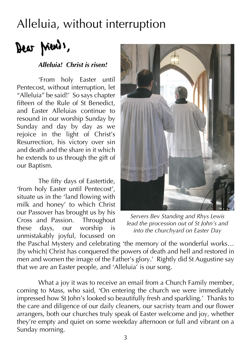## Alleluia, without interruption

Dear Ments,

#### *Alleluia! Christ is risen!*

'From holy Easter until Pentecost, without interruption, let "Alleluia" be said!' So says chapter fifteen of the Rule of St Benedict, and Easter Alleluias continue to resound in our worship Sunday by Sunday and day by day as we rejoice in the light of Christ's Resurrection, his victory over sin and death and the share in it which he extends to us through the gift of our Baptism.

The fifty days of Eastertide, 'from holy Easter until Pentecost', situate us in the 'land flowing with milk and honey' to which Christ our Passover has brought us by his Cross and Passion. Throughout these days, our worship is unmistakably joyful, focussed on



*Servers Bev Standing and Rhys Lewis lead the procession out of St John's and into the churchyard on Easter Day*

the Paschal Mystery and celebrating 'the memory of the wonderful works… [by which] Christ has conquered the powers of death and hell and restored in men and women the image of the Father's glory.' Rightly did St Augustine say that we are an Easter people, and 'Alleluia' is our song.

What a joy it was to receive an email from a Church Family member, coming to Mass, who said, 'On entering the church we were immediately impressed how St John's looked so beautifully fresh and sparkling.' Thanks to the care and diligence of our daily cleaners, our sacristy team and our flower arrangers, both our churches truly speak of Easter welcome and joy, whether they're empty and quiet on some weekday afternoon or full and vibrant on a Sunday morning.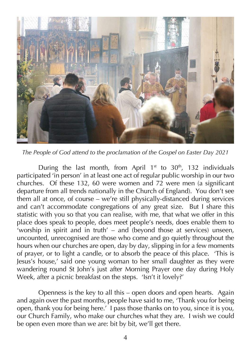

*The People of God attend to the proclamation of the Gospel on Easter Day 2021*

During the last month, from April  $1<sup>st</sup>$  to  $30<sup>th</sup>$ , 132 individuals participated 'in person' in at least one act of regular public worship in our two churches. Of these 132, 60 were women and 72 were men (a significant departure from all trends nationally in the Church of England). You don't see them all at once, of course – we're still physically-distanced during services and can't accommodate congregations of any great size. But I share this statistic with you so that you can realise, with me, that what we offer in this place does speak to people, does meet people's needs, does enable them to 'worship in spirit and in truth' – and (beyond those at services) unseen, uncounted, unrecognised are those who come and go quietly throughout the hours when our churches are open, day by day, slipping in for a few moments of prayer, or to light a candle, or to absorb the peace of this place. 'This is Jesus's house,' said one young woman to her small daughter as they were wandering round St John's just after Morning Prayer one day during Holy Week, after a picnic breakfast on the steps. 'Isn't it lovely?'

Openness is the key to all this – open doors and open hearts. Again and again over the past months, people have said to me, 'Thank you for being open, thank you for being here.' I pass those thanks on to you, since it is you, our Church Family, who make our churches what they are. I wish we could be open even more than we are: bit by bit, we'll get there.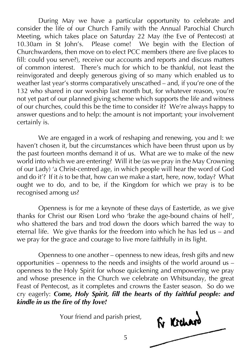During May we have a particular opportunity to celebrate and consider the life of our Church Family with the Annual Parochial Church Meeting, which takes place on Saturday 22 May (the Eve of Pentecost) at 10.30am in St John's. Please come! We begin with the Election of Churchwardens, then move on to elect PCC members (there are five places to fill: could you serve?), receive our accounts and reports and discuss matters of common interest. There's much for which to be thankful, not least the reinvigorated and deeply generous giving of so many which enabled us to weather last year's storms comparatively unscathed – and, if you're one of the 132 who shared in our worship last month but, for whatever reason, you're not yet part of our planned giving scheme which supports the life and witness of our churches, could this be the time to consider it? We're always happy to answer questions and to help: the amount is not important; your involvement certainly is.

We are engaged in a work of reshaping and renewing, you and I: we haven't chosen it, but the circumstances which have been thrust upon us by the past fourteen months demand it of us. What are we to make of the new world into which we are entering? Will it be (as we pray in the May Crowning of our Lady) 'a Christ-centred age, in which people will hear the word of God and do it'? If it *is* to be that, how can we make a start, here, now, today? What ought we to do, and to be, if the Kingdom for which we pray is to be recognised among us?

Openness is for me a keynote of these days of Eastertide, as we give thanks for Christ our Risen Lord who 'brake the age-bound chains of hell', who shattered the bars and trod down the doors which barred the way to eternal life. We give thanks for the freedom into which he has led us – and we pray for the grace and courage to live more faithfully in its light.

Openness to one another – openness to new ideas, fresh gifts and new opportunities – openness to the needs and insights of the world around us – openness to the Holy Spirit for whose quickening and empowering we pray and whose presence in the Church we celebrate on Whitsunday, the great Feast of Pentecost, as it completes and crowns the Easter season. So do we cry eagerly: *Come, Holy Spirit, fill the hearts of thy faithful people: and kindle in us the fire of thy love!*

Your friend and parish priest,

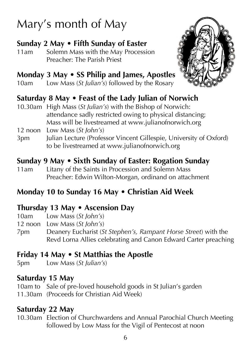# Mary's month of May

### **Sunday 2 May • Fifth Sunday of Easter**

11am Solemn Mass with the May Procession Preacher: The Parish Priest

### **Monday 3 May • SS Philip and James, Apostles**

10am Low Mass (*St Julian's*) followed by the Rosary



### **Saturday 8 May • Feast of the Lady Julian of Norwich**

- 10.30am High Mass (*St Julian's*) with the Bishop of Norwich: attendance sadly restricted owing to physical distancing; Mass will be livestreamed at www.julianofnorwich.org
- 12 noon Low Mass (*St John's*)
- 3pm Julian Lecture (Professor Vincent Gillespie, University of Oxford) to be livestreamed at www.julianofnorwich.org

### **Sunday 9 May • Sixth Sunday of Easter: Rogation Sunday**

11am Litany of the Saints in Procession and Solemn Mass Preacher: Edwin Wilton-Morgan, ordinand on attachment

### **Monday 10 to Sunday 16 May • Christian Aid Week**

### **Thursday 13 May • Ascension Day**

- 10am Low Mass (*St John's*)
- 12 noon Low Mass (*St John's*)
- 7pm Deanery Eucharist (*St Stephen's, Rampant Horse Street*) with the Revd Lorna Allies celebrating and Canon Edward Carter preaching

### **Friday 14 May • St Matthias the Apostle**

5pm Low Mass (*St Julian's*)

### **Saturday 15 May**

10am to Sale of pre-loved household goods in St Julian's garden 11.30am (Proceeds for Christian Aid Week)

### **Saturday 22 May**

10.30am Election of Churchwardens and Annual Parochial Church Meeting followed by Low Mass for the Vigil of Pentecost at noon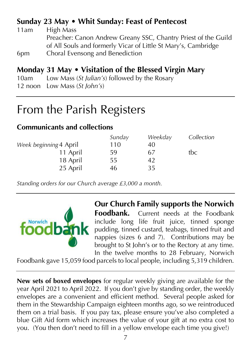### **Sunday 23 May • Whit Sunday: Feast of Pentecost**

| 11am | High Mass                                                      |
|------|----------------------------------------------------------------|
|      | Preacher: Canon Andrew Greany SSC, Chantry Priest of the Guild |
|      | of All Souls and formerly Vicar of Little St Mary's, Cambridge |
| 6pm  | Choral Evensong and Benediction                                |
|      |                                                                |

### **Monday 31 May • Visitation of the Blessed Virgin Mary**

10am Low Mass (*St Julian's*) followed by the Rosary

12 noon Low Mass (*St John's*)

## From the Parish Registers

### **Communicants and collections**

|                        | Sunday | Weekday | Collection |
|------------------------|--------|---------|------------|
| Week beginning 4 April | 110    | 40      |            |
| 11 April               | 59     | 67      | tbc        |
| 18 April               | 55     | 42      |            |
| 25 April               | 46     | 35      |            |

*Standing orders for our Church average £3,000 a month.*



**Our Church Family supports the Norwich Foodbank.** Current needs at the Foodbank include long life fruit juice, tinned sponge pudding, tinned custard, teabags, tinned fruit and nappies (sizes 6 and 7). Contributions may be brought to St John's or to the Rectory at any time. In the twelve months to 28 February, Norwich

Foodbank gave 15,059 food parcels to local people, including 5,319 children.

**New sets of boxed envelopes** for regular weekly giving are available for the year April 2021 to April 2022. If you don't give by standing order, the weekly envelopes are a convenient and efficient method. Several people asked for them in the Stewardship Campaign eighteen months ago, so we reintroduced them on a trial basis. If you pay tax, please ensure you've also completed a blue Gift Aid form which increases the value of your gift at no extra cost to you. (You then don't need to fill in a yellow envelope each time you give!)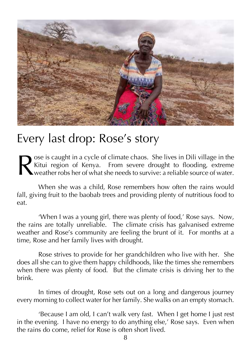

## Every last drop: Rose's story

ose is caught in a cycle of climate chaos. She lives in Dili village in the Kitui region of Kenya. From severe drought to flooding, extreme  $\sum_{n=0}^{100}$  weather robs her of what she needs to survive: a reliable source of water. R

When she was a child, Rose remembers how often the rains would fall, giving fruit to the baobab trees and providing plenty of nutritious food to eat.

'When I was a young girl, there was plenty of food,' Rose says. Now, the rains are totally unreliable. The climate crisis has galvanised extreme weather and Rose's community are feeling the brunt of it. For months at a time, Rose and her family lives with drought.

Rose strives to provide for her grandchildren who live with her. She does all she can to give them happy childhoods, like the times she remembers when there was plenty of food. But the climate crisis is driving her to the brink.

In times of drought, Rose sets out on a long and dangerous journey every morning to collect water for her family. She walks on an empty stomach.

'Because I am old, I can't walk very fast. When I get home I just rest in the evening. I have no energy to do anything else,' Rose says. Even when the rains do come, relief for Rose is often short lived.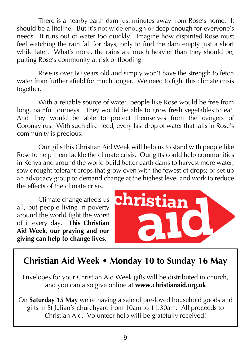There is a nearby earth dam just minutes away from Rose's home. It should be a lifeline. But it's not wide enough or deep enough for everyone's needs. It runs out of water too quickly. Imagine how dispirited Rose must feel watching the rain fall for days, only to find the dam empty just a short while later. What's more, the rains are much heavier than they should be, putting Rose's community at risk of flooding.

Rose is over 60 years old and simply won't have the strength to fetch water from further afield for much longer. We need to fight this climate crisis together.

With a reliable source of water, people like Rose would be free from long, painful journeys. They would be able to grow fresh vegetables to eat. And they would be able to protect themselves from the dangers of Coronavirus. With such dire need, every last drop of water that falls in Rose's community is precious.

Our gifts this Christian Aid Week will help us to stand with people like Rose to help them tackle the climate crisis. Our gifts could help communities in Kenya and around the world build better earth dams to harvest more water; sow drought-tolerant crops that grow even with the fewest of drops; or set up an advocacy group to demand change at the highest level and work to reduce the effects of the climate crisis.

Climate change affects us all, but people living in poverty around the world fight the worst of it every day. **This Christian Aid Week, our praying and our giving can help to change lives.**



## **Christian Aid Week • Monday 10 to Sunday 16 May**

Envelopes for your Christian Aid Week gifts will be distributed in church, and you can also give online at **www.christianaid.org.uk**

On **Saturday 15 May** we're having a sale of pre-loved household goods and gifts in St Julian's churchyard from 10am to 11.30am. All proceeds to Christian Aid. Volunteer help will be gratefully received!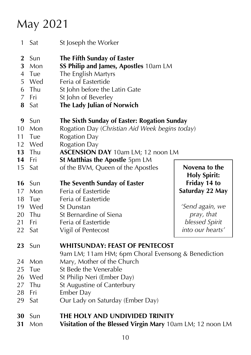# May 2021

| 1                                      | Sat                                           | St Joseph the Worker                                                                                                                                                                                                                                                   |                                                                                                        |
|----------------------------------------|-----------------------------------------------|------------------------------------------------------------------------------------------------------------------------------------------------------------------------------------------------------------------------------------------------------------------------|--------------------------------------------------------------------------------------------------------|
| $\bf{2}$<br>3<br>4<br>5<br>6<br>7<br>8 | Sun<br>Mon<br>Tue<br>Wed<br>Thu<br>Fri<br>Sat | The Fifth Sunday of Easter<br>SS Philip and James, Apostles 10am LM<br>The English Martyrs<br>Feria of Eastertide<br>St John before the Latin Gate<br>St John of Beverley<br>The Lady Julian of Norwich                                                                |                                                                                                        |
| 9<br>10<br>11<br>12<br>13<br>14        | Sun<br>Mon<br>Tue<br>Wed<br>Thu<br>Fri        | The Sixth Sunday of Easter: Rogation Sunday<br>Rogation Day (Christian Aid Week begins today)<br><b>Rogation Day</b><br><b>Rogation Day</b><br><b>ASCENSION DAY 10am LM; 12 noon LM</b><br><b>St Matthias the Apostle 5pm LM</b>                                       |                                                                                                        |
| 15                                     | Sat                                           | of the BVM, Queen of the Apostles                                                                                                                                                                                                                                      | Novena to the<br><b>Holy Spirit:</b>                                                                   |
| 16<br>17<br>18<br>19<br>20<br>21<br>22 | Sun<br>Mon<br>Tue<br>Wed<br>Thu<br>Fri<br>Sat | The Seventh Sunday of Easter<br>Feria of Eastertide<br>Feria of Eastertide<br>St Dunstan<br>St Bernardine of Siena<br>Feria of Eastertide<br>Vigil of Pentecost                                                                                                        | Friday 14 to<br>Saturday 22 May<br>'Send again, we<br>pray, that<br>blessed Spirit<br>into our hearts' |
| 23<br>24<br>25<br>26<br>27<br>28<br>29 | Sun<br>Mon<br>Tue<br>Wed<br>Thu<br>Fri<br>Sat | <b>WHITSUNDAY: FEAST OF PENTECOST</b><br>9am LM; 11am HM; 6pm Choral Evensong & Benediction<br>Mary, Mother of the Church<br>St Bede the Venerable<br>St Philip Neri (Ember Day)<br>St Augustine of Canterbury<br><b>Ember Day</b><br>Our Lady on Saturday (Ember Day) |                                                                                                        |
| 30<br>31                               | Sun<br>Mon                                    | THE HOLY AND UNDIVIDED TRINITY<br>Visitation of the Blessed Virgin Mary 10am LM; 12 noon LM                                                                                                                                                                            |                                                                                                        |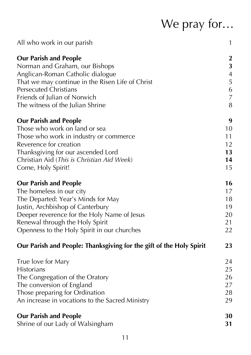# We pray for…

| All who work in our parish                                          | $\mathbf{1}$     |
|---------------------------------------------------------------------|------------------|
| <b>Our Parish and People</b>                                        | $\boldsymbol{2}$ |
| Norman and Graham, our Bishops                                      | 3                |
| Anglican-Roman Catholic dialogue                                    | $\overline{4}$   |
| That we may continue in the Risen Life of Christ                    | 5                |
| <b>Persecuted Christians</b>                                        | $\boldsymbol{6}$ |
| Friends of Julian of Norwich                                        | $\overline{7}$   |
| The witness of the Julian Shrine                                    | 8                |
| <b>Our Parish and People</b>                                        | 9                |
| Those who work on land or sea                                       | 10               |
| Those who work in industry or commerce                              | 11               |
| Reverence for creation                                              | 12               |
| Thanksgiving for our ascended Lord                                  | 13               |
| Christian Aid (This is Christian Aid Week)                          | 14               |
| Come, Holy Spirit!                                                  | 15               |
| <b>Our Parish and People</b>                                        | 16               |
| The homeless in our city                                            | 17               |
| The Departed: Year's Minds for May                                  | 18               |
| Justin, Archbishop of Canterbury                                    | 19               |
| Deeper reverence for the Holy Name of Jesus                         | 20               |
| Renewal through the Holy Spirit                                     | 21               |
| Openness to the Holy Spirit in our churches                         | 22               |
| Our Parish and People: Thanksgiving for the gift of the Holy Spirit | 23               |
| True love for Mary                                                  | 24               |
| <b>Historians</b>                                                   | 25               |
| The Congregation of the Oratory                                     | 26               |
| The conversion of England                                           | 27               |
| Those preparing for Ordination                                      | 28               |
| An increase in vocations to the Sacred Ministry                     | 29               |
| <b>Our Parish and People</b>                                        | 30               |
| Shrine of our Lady of Walsingham                                    | 31               |
|                                                                     |                  |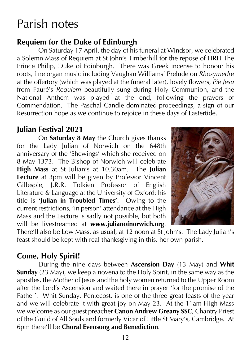## Parish notes

### **Requiem for the Duke of Edinburgh**

On Saturday 17 April, the day of his funeral at Windsor, we celebrated a Solemn Mass of Requiem at St John's Timberhill for the repose of HRH The Prince Philip, Duke of Edinburgh. There was Greek incense to honour his roots, fine organ music including Vaughan Williams' Prelude on *Rhosymedre* at the offertory (which was played at the funeral later), lovely flowers, *Pie Jesu* from Fauré's *Requiem* beautifully sung during Holy Communion, and the National Anthem was played at the end, following the prayers of Commendation. The Paschal Candle dominated proceedings, a sign of our Resurrection hope as we continue to rejoice in these days of Eastertide.

### **Julian Festival 2021**

On **Saturday 8 May** the Church gives thanks for the Lady Julian of Norwich on the 648th anniversary of the 'Shewings' which she received on 8 May 1373. The Bishop of Norwich will celebrate **High Mass** at St Julian's at 10.30am. The **Julian Lecture** at 3pm will be given by Professor Vincent Gillespie, J.R.R. Tolkien Professor of English Literature & Language at the University of Oxford: his title is **'Julian in Troubled Times'**. Owing to the current restrictions, 'in person' attendance at the High Mass and the Lecture is sadly not possible, but both will be livestreamed at **www.julianofnorwich.org**.



There'll also be Low Mass, as usual, at 12 noon at St John's. The Lady Julian's feast should be kept with real thanksgiving in this, her own parish.

### **Come, Holy Spirit!**

During the nine days between **Ascension Day** (13 May) and **Whit Sunday** (23 May), we keep a novena to the Holy Spirit, in the same way as the apostles, the Mother of Jesus and the holy women returned to the Upper Room after the Lord's Ascension and waited there in prayer 'for the promise of the Father'. Whit Sunday, Pentecost, is one of the three great feasts of the year and we will celebrate it with great joy on May 23. At the 11am High Mass we welcome as our guest preacher **Canon Andrew Greany SSC**, Chantry Priest of the Guild of All Souls and formerly Vicar of Little St Mary's, Cambridge. At 6pm there'll be **Choral Evensong and Benediction**.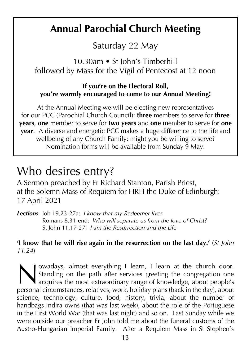## **Annual Parochial Church Meeting**

Saturday 22 May

10.30am • St John's Timberhill followed by Mass for the Vigil of Pentecost at 12 noon

#### **If you're on the Electoral Roll, you're warmly encouraged to come to our Annual Meeting!**

At the Annual Meeting we will be electing new representatives for our PCC (Parochial Church Council): **three** members to serve for **three years**, **one** member to serve for **two years** and **one** member to serve for **one year**. A diverse and energetic PCC makes a huge difference to the life and wellbeing of any Church Family: might you be willing to serve? Nomination forms will be available from Sunday 9 May.

## Who desires entry?

A Sermon preached by Fr Richard Stanton, Parish Priest, at the Solemn Mass of Requiem for HRH the Duke of Edinburgh: 17 April 2021

*Lections* Job 19.23-27a: *I know that my Redeemer lives* Romans 8.31-end: *Who will separate us from the love of Christ?* St John 11.17-27: *I am the Resurrection and the Life*

### **'I know that he will rise again in the resurrection on the last day.'** (*St John 11.24*)

owadays, almost everything I learn, I learn at the church door. Standing on the path after services greeting the congregation one acquires the most extraordinary range of knowledge, about people's **personal circumstances**, relatives, work, holiday plans (back in the day), about people's personal circumstances, relatives, work, holiday plans (back in the day), about science, technology, culture, food, history, trivia, about the number of handbags Indira owns (that was last week), about the role of the Portuguese in the First World War (that was last night) and so on. Last Sunday while we were outside our preacher Fr John told me about the funeral customs of the Austro-Hungarian Imperial Family. After a Requiem Mass in St Stephen's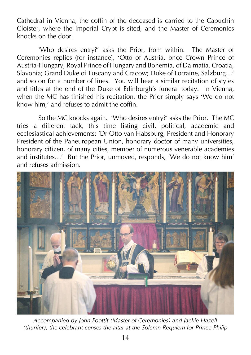Cathedral in Vienna, the coffin of the deceased is carried to the Capuchin Cloister, where the Imperial Crypt is sited, and the Master of Ceremonies knocks on the door.

'Who desires entry?' asks the Prior, from within. The Master of Ceremonies replies (for instance), 'Otto of Austria, once Crown Prince of Austria-Hungary, Royal Prince of Hungary and Bohemia, of Dalmatia, Croatia, Slavonia; Grand Duke of Tuscany and Cracow; Duke of Lorraine, Salzburg…' and so on for a number of lines. You will hear a similar recitation of styles and titles at the end of the Duke of Edinburgh's funeral today. In Vienna, when the MC has finished his recitation, the Prior simply says 'We do not know him,' and refuses to admit the coffin.

So the MC knocks again. 'Who desires entry?' asks the Prior. The MC tries a different tack, this time listing civil, political, academic and ecclesiastical achievements: 'Dr Otto van Habsburg, President and Honorary President of the Paneuropean Union, honorary doctor of many universities, honorary citizen, of many cities, member of numerous venerable academies and institutes…' But the Prior, unmoved, responds, 'We do not know him' and refuses admission.



*Accompanied by John Foottit (Master of Ceremonies) and Jackie Hazell (thurifer), the celebrant censes the altar at the Solemn Requiem for Prince Philip*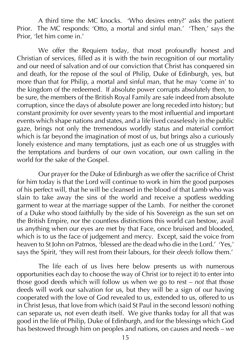A third time the MC knocks. 'Who desires entry?' asks the patient Prior. The MC responds: 'Otto, a mortal and sinful man.' 'Then,' says the Prior, 'let him come in.'

We offer the Requiem today, that most profoundly honest and Christian of services, filled as it is with the twin recognition of our mortality and our need of salvation and of our conviction that Christ has conquered sin and death, for the repose of the soul of Philip, Duke of Edinburgh, yes, but more than that for Philip, a mortal and sinful man, that he may 'come in' to the kingdom of the redeemed. If absolute power corrupts absolutely then, to be sure, the members of the British Royal Family are safe indeed from absolute corruption, since the days of absolute power are long receded into history; but constant proximity for over seventy years to the most influential and important events which shape nations and states, and a life lived ceaselessly in the public gaze, brings not only the tremendous worldly status and material comfort which is far beyond the imagination of most of us, but brings also a curiously lonely existence and many temptations, just as each one of us struggles with the temptations and burdens of our own vocation, our own calling in the world for the sake of the Gospel.

Our prayer for the Duke of Edinburgh as we offer the sacrifice of Christ for him today is that the Lord will continue to work in him the good purposes of his perfect will, that he will be cleansed in the blood of that Lamb who was slain to take away the sins of the world and receive a spotless wedding garment to wear at the marriage supper of the Lamb. For neither the coronet of a Duke who stood faithfully by the side of his Sovereign as the sun set on the British Empire, nor the countless distinctions this world can bestow, avail us anything when our eyes are met by that Face, once bruised and blooded, which is to us the face of judgement and mercy. Except, said the voice from heaven to St John on Patmos, 'blessed are the dead who die in the Lord.' 'Yes,' says the Spirit, 'they will rest from their labours, for their *deeds* follow them.'

The life each of us lives here below presents us with numerous opportunities each day to choose the way of Christ (or to reject it) to enter into those good deeds which will follow us when we go to rest – *not* that those deeds will work our salvation for us, but they will be a sign of our having cooperated with the love of God revealed to us, extended to us, offered to us in Christ Jesus, that love from which (said St Paul in the second lesson) nothing can separate us, not even death itself. We give thanks today for all that was good in the life of Philip, Duke of Edinburgh, and for the blessings which God has bestowed through him on peoples and nations, on causes and needs – we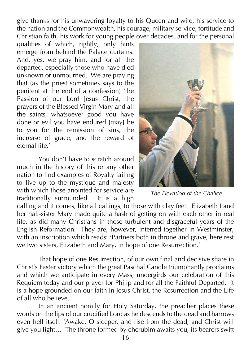give thanks for his unwavering loyalty to his Queen and wife, his service to the nation and the Commonwealth, his courage, military service, fortitude and Christian faith, his work for young people over decades, and for the personal

qualities of which, rightly, only hints emerge from behind the Palace curtains. And, yes, we pray him, and for all the departed, especially those who have died unknown or unmourned. We are praying that (as the priest sometimes says to the penitent at the end of a confession) 'the Passion of our Lord Jesus Christ, the prayers of the Blessed Virgin Mary and all the saints, whatsoever good you have done or evil you have endured [may] be to you for the remission of sins, the increase of grace, and the reward of eternal life.'

You don't have to scratch around much in the history of this or any other nation to find examples of Royalty failing to live up to the mystique and majesty with which those anointed for service are traditionally surrounded. It is a high



*The Elevation of the Chalice*

calling and it comes, like all callings, to those with clay feet. Elizabeth I and her half-sister Mary made quite a hash of getting on with each other in real life, as did many Christians in those turbulent and disgraceful years of the English Reformation. They are, however, interred together in Westminster, with an inscription which reads: 'Partners both in throne and grave, here rest we two sisters, Elizabeth and Mary, in hope of one Resurrection.'

That hope of one Resurrection, of our own final and decisive share in Christ's Easter victory which the great Paschal Candle triumphantly proclaims and which we anticipate in every Mass, undergirds our celebration of this Requiem today and our prayer for Philip and for all the Faithful Departed. It is a hope grounded on our faith in Jesus Christ, the Resurrection and the Life of all who believe.

In an ancient homily for Holy Saturday, the preacher places these words on the lips of our crucified Lord as he descends to the dead and harrows even hell itself: 'Awake, O sleeper, and rise from the dead, and Christ will give you light… The throne formed by cherubim awaits you, its bearers swift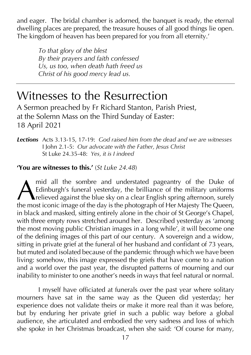and eager. The bridal chamber is adorned, the banquet is ready, the eternal dwelling places are prepared, the treasure houses of all good things lie open. The kingdom of heaven has been prepared for you from all eternity.'

*To that glory of the blest By their prayers and faith confessed Us, us too, when death hath freed us Christ of his good mercy lead us.*

## Witnesses to the Resurrection

A Sermon preached by Fr Richard Stanton, Parish Priest, at the Solemn Mass on the Third Sunday of Easter: 18 April 2021

*Lections* Acts 3.13-15, 17-19: *God raised him from the dead and we are witnesses* I John 2.1-5: *Our advocate with the Father, Jesus Christ* St Luke 24.35-48: *Yes, it is I indeed*

#### **'You are witnesses to this.'** (*St Luke 24.48*)

mid all the sombre and understated pageantry of the Duke of Edinburgh's funeral yesterday, the brilliance of the military uniforms **The against the blue sky on a clear English spring afternoon, surely** mid all the sombre and understated pageantry of the Duke of Edinburgh's funeral yesterday, the brilliance of the military uniforms relieved against the blue sky on a clear English spring afternoon, surely the most iconic i in black and masked, sitting entirely alone in the choir of St George's Chapel, with three empty rows stretched around her. Described yesterday as 'among the most moving public Christian images in a long while', it will become one of the defining images of this part of our century. A sovereign and a widow, sitting in private grief at the funeral of her husband and confidant of 73 years, but muted and isolated because of the pandemic through which we have been living: somehow, this image expressed the griefs that have come to a nation and a world over the past year, the disrupted patterns of mourning and our inability to minister to one another's needs in ways that feel natural or normal.

I myself have officiated at funerals over the past year where solitary mourners have sat in the same way as the Queen did yesterday; her experience does not validate theirs or make it more real than it was before, but by enduring her private grief in such a public way before a global audience, she articulated and embodied the very sadness and loss of which she spoke in her Christmas broadcast, when she said: 'Of course for many,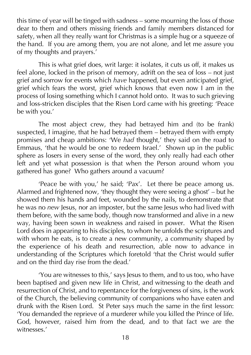this time of year will be tinged with sadness – some mourning the loss of those dear to them and others missing friends and family members distanced for safety, when all they really want for Christmas is a simple hug or a squeeze of the hand. If you are among them, you are not alone, and let me assure you of my thoughts and prayers.'

This is what grief does, writ large: it isolates, it cuts us off, it makes us feel alone, locked in the prison of memory, adrift on the sea of loss – not just grief and sorrow for events which *have* happened, but even anticipated grief, grief which fears the worst, grief which knows that even now I am in the process of losing something which I cannot hold onto. It was to such grieving and loss-stricken disciples that the Risen Lord came with his greeting: 'Peace be with you.'

The most abject crew, they had betrayed him and (to be frank) suspected, I imagine, that he had betrayed them – betrayed them with empty promises and cheap ambitions: 'We *had* thought,' they said on the road to Emmaus, 'that he would be one to redeem Israel.' Shown up in the public sphere as losers in every sense of the word, they only really had each other left and yet what possession is that when the Person around whom you gathered has gone? Who gathers around a vacuum?

'Peace be with you,' he said; 'Pax'. Let there be peace among us. Alarmed and frightened now, 'they thought they were seeing a ghost' – but he showed them his hands and feet, wounded by the nails, to demonstrate that he was no *new* Jesus, nor an imposter, but the same Jesus who had lived with them before, with the same body, though now transformed and alive in a new way, having been sown in weakness and raised in power. What the Risen Lord does in appearing to his disciples, to whom he unfolds the scriptures and with whom he eats, is to create a new community, a community shaped by the experience of his death and resurrection, able now to advance in understanding of the Scriptures which foretold 'that the Christ would suffer and on the third day rise from the dead.'

'You are witnesses to this,' says Jesus to them, and to us too, who have been baptised and given new life in Christ, and witnessing to the death and resurrection of Christ, and to repentance for the forgiveness of sins, is the work of the Church, the believing community of companions who have eaten and drunk with the Risen Lord. St Peter says much the same in the first lesson: 'You demanded the reprieve of a murderer while you killed the Prince of life. God, however, raised him from the dead, and to that fact we are the witnesses<sup>'</sup>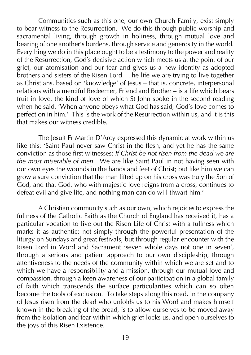Communities such as this one, our own Church Family, exist simply to bear witness to the Resurrection. We do this through public worship and sacramental living, through growth in holiness, through mutual love and bearing of one another's burdens, through service and generosity in the world. Everything we do in this place ought to be a testimony to the power and reality of the Resurrection, God's decisive action which meets us at the point of our grief, our atomisation and our fear and gives us a new identity as adopted brothers and sisters of the Risen Lord. The life we are trying to live together as Christians, based on 'knowledge' of Jesus – that is, concrete, interpersonal relations with a merciful Redeemer, Friend and Brother – is a life which bears fruit in love, the kind of love of which St John spoke in the second reading when he said. 'When anyone obeys what God has said. God's love comes to perfection in him.' This is the work of the Resurrection within us, and it is this that makes our witness credible.

The Jesuit Fr Martin D'Arcy expressed this dynamic at work within us like this: 'Saint Paul never saw Christ in the flesh, and yet he has the same conviction as those first witnesses: *If Christ be not risen from the dead we are the most miserable of men.* We are like Saint Paul in not having seen with our own eyes the wounds in the hands and feet of Christ; but like him we can grow a sure conviction that the man lifted up on his cross was truly the Son of God, and that God, who with majestic love reigns from a cross, continues to defeat evil and give life, and nothing man can do will thwart him.'

A Christian community such as our own, which rejoices to express the fullness of the Catholic Faith as the Church of England has received it, has a particular vocation to live out the Risen Life of Christ with a fullness which marks it as authentic; not simply through the powerful presentation of the liturgy on Sundays and great festivals, but through regular encounter with the Risen Lord in Word and Sacrament 'seven whole days not one in seven', through a serious and patient approach to our own discipleship, through attentiveness to the needs of the community within which we are set and to which we have a responsibility and a mission, through our mutual love and compassion, through a keen awareness of our participation in a global family of faith which transcends the surface particularities which can so often become the tools of exclusion. To take steps along this road, in the company of Jesus risen from the dead who unfolds us to his Word and makes himself known in the breaking of the bread, is to allow ourselves to be moved away from the isolation and fear within which grief locks us, and open ourselves to the joys of this Risen Existence.